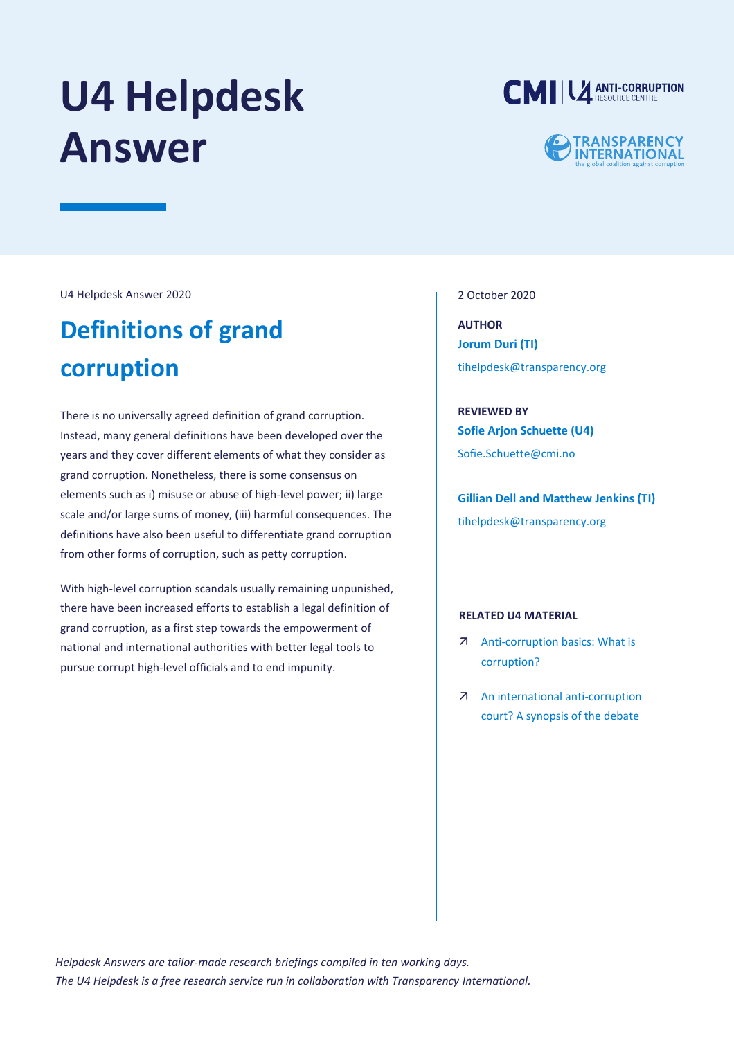# **U4 Helpdesk Answer**



## **TRANSPARENCY<br>INTERNATIONAL**

U4 Helpdesk Answer 2020

## **Definitions of grand corruption**

There is no universally agreed definition of grand corruption. Instead, many general definitions have been developed over the years and they cover different elements of what they consider as grand corruption. Nonetheless, there is some consensus on elements such as i) misuse or abuse of high-level power; ii) large scale and/or large sums of money, (iii) harmful consequences. The definitions have also been useful to differentiate grand corruption from other forms of corruption, such as petty corruption.

With high-level corruption scandals usually remaining unpunished, there have been increased efforts to establish a legal definition of grand corruption, as a first step towards the empowerment of national and international authorities with better legal tools to pursue corrupt high-level officials and to end impunity.

2 October 2020

**AUTHOR Jorum Duri (TI)** [tihelpdesk@transparency.org](mailto:tihelpdesk@transparency.org)

**REVIEWED BY Sofie Arjon Schuette (U4)** Sofie.Schuette@cmi.no

**Gillian Dell and Matthew Jenkins (TI)** [tihelpdesk@transparency.org](mailto:tihelpdesk@transparency.org)

#### **RELATED U4 MATERIAL**

- [Anti-corruption basics: What is](https://www.u4.no/topics/anti-corruption-basics/basics)  [corruption?](https://www.u4.no/topics/anti-corruption-basics/basics)
- [An international anti-corruption](https://www.u4.no/publications/an-international-anti-corruption-court-a-synopsis-of-the-debate)  [court? A synopsis of the debate](https://www.u4.no/publications/an-international-anti-corruption-court-a-synopsis-of-the-debate)

*Helpdesk Answers are tailor-made research briefings compiled in ten working days. The U4 Helpdesk is a free research service run in collaboration with Transparency International.*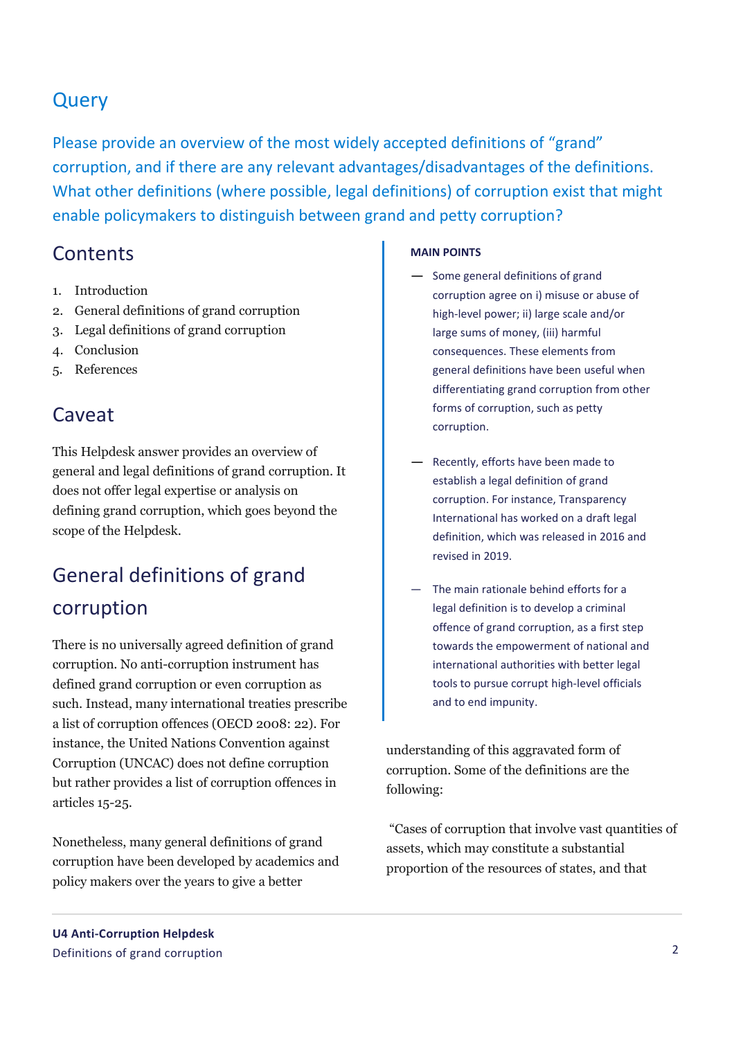## Query

Please provide an overview of the most widely accepted definitions of "grand" corruption, and if there are any relevant advantages/disadvantages of the definitions. What other definitions (where possible, legal definitions) of corruption exist that might enable policymakers to distinguish between grand and petty corruption?

### **Contents**

- 1. Introduction
- 2. General definitions of grand corruption
- 3. Legal definitions of grand corruption
- 4. Conclusion
- 5. References

## Caveat

This Helpdesk answer provides an overview of general and legal definitions of grand corruption. It does not offer legal expertise or analysis on defining grand corruption, which goes beyond the scope of the Helpdesk.

## General definitions of grand corruption

There is no universally agreed definition of grand corruption. No anti-corruption instrument has defined grand corruption or even corruption as such. Instead, many international treaties prescribe a list of corruption offences (OECD 2008: 22). For instance, the United Nations Convention against Corruption (UNCAC) does not define corruption but rather provides a list of corruption offences in articles 15-25.

Nonetheless, many general definitions of grand corruption have been developed by academics and policy makers over the years to give a better

#### **MAIN POINTS**

- Some general definitions of grand corruption agree on i) misuse or abuse of high-level power; ii) large scale and/or large sums of money, (iii) harmful consequences. These elements from general definitions have been useful when differentiating grand corruption from other forms of corruption, such as petty corruption.
- Recently, efforts have been made to establish a legal definition of grand corruption. For instance, Transparency International has worked on a draft legal definition, which was released in 2016 and revised in 2019.
- The main rationale behind efforts for a legal definition is to develop a criminal offence of grand corruption, as a first step towards the empowerment of national and international authorities with better legal tools to pursue corrupt high-level officials and to end impunity.

understanding of this aggravated form of corruption. Some of the definitions are the following:

"Cases of corruption that involve vast quantities of assets, which may constitute a substantial proportion of the resources of states, and that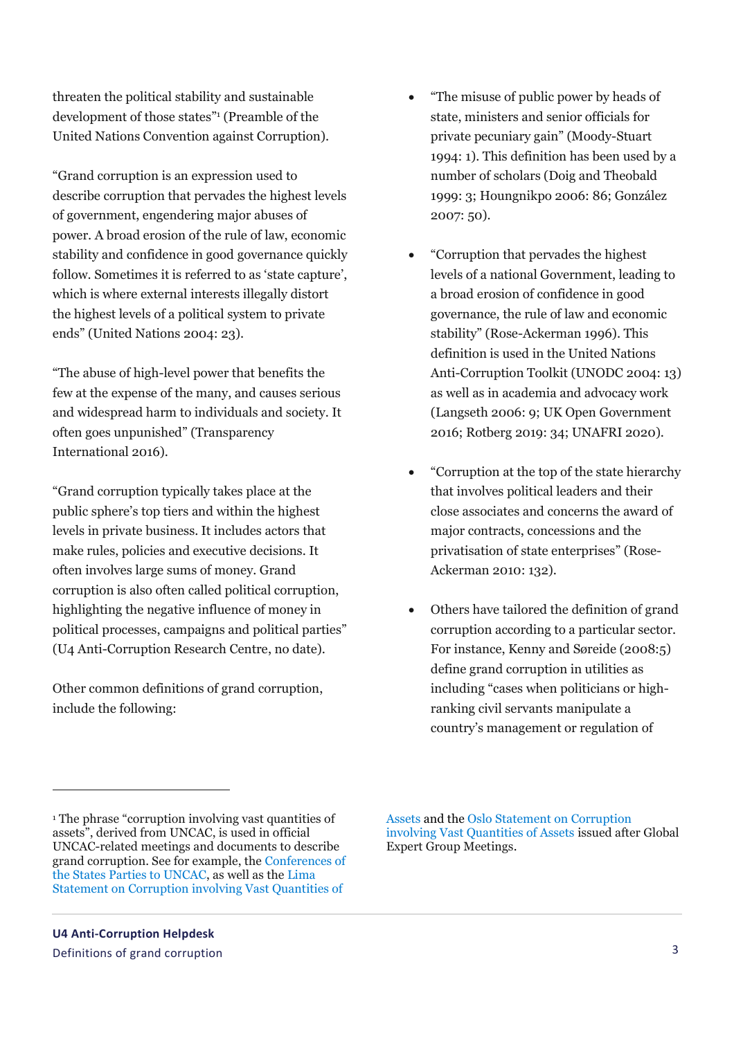$\overline{a}$ 

threaten the political stability and sustainable development of those states" 1 (Preamble of the United Nations Convention against Corruption).

"Grand corruption is an expression used to describe corruption that pervades the highest levels of government, engendering major abuses of power. A broad erosion of the rule of law, economic stability and confidence in good governance quickly follow. Sometimes it is referred to as 'state capture', which is where external interests illegally distort the highest levels of a political system to private ends" (United Nations 2004: 23).

"The abuse of high-level power that benefits the few at the expense of the many, and causes serious and widespread harm to individuals and society. It often goes unpunished" (Transparency International 2016).

"Grand corruption typically takes place at the public sphere's top tiers and within the highest levels in private business. It includes actors that make rules, policies and executive decisions. It often involves large sums of money. Grand corruption is also often called political corruption, highlighting the negative influence of money in political processes, campaigns and political parties" (U4 Anti-Corruption Research Centre, no date).

Other common definitions of grand corruption, include the following:

- "Corruption that pervades the highest levels of a national Government, leading to a broad erosion of confidence in good governance, the rule of law and economic stability" (Rose-Ackerman 1996). This definition is used in the United Nations Anti-Corruption Toolkit (UNODC 2004: 13) as well as in academia and advocacy work (Langseth 2006: 9; UK Open Government 2016; Rotberg 2019: 34; UNAFRI 2020).
- "Corruption at the top of the state hierarchy that involves political leaders and their close associates and concerns the award of major contracts, concessions and the privatisation of state enterprises" (Rose-Ackerman 2010: 132).
- Others have tailored the definition of grand corruption according to a particular sector. For instance, Kenny and Søreide (2008:5) define grand corruption in utilities as including "cases when politicians or highranking civil servants manipulate a country's management or regulation of

[Assets](https://www.unodc.org/documents/corruption/LimaEGM2018/Outcome_Statement_Lima_EGM_2018.pdf) and the [Oslo Statement on Corruption](https://www.unodc.org/documents/corruption/meetings/OsloEGM2019/Oslo_Outcome_Statement_on_Corruption_involving_Vast_Quantities_of_Assets_-_FINAL_VERSION.pdf)  [involving Vast Quantities of Assets](https://www.unodc.org/documents/corruption/meetings/OsloEGM2019/Oslo_Outcome_Statement_on_Corruption_involving_Vast_Quantities_of_Assets_-_FINAL_VERSION.pdf) issued after Global Expert Group Meetings.

"The misuse of public power by heads of state, ministers and senior officials for private pecuniary gain" (Moody-Stuart 1994: 1). This definition has been used by a number of scholars (Doig and Theobald 1999: 3; Houngnikpo 2006: 86; González 2007: 50).

<sup>&</sup>lt;sup>1</sup> The phrase "corruption involving vast quantities of assets", derived from UNCAC, is used in official UNCAC-related meetings and documents to describe grand corruption. See for example, the [Conferences of](http://undocs.org/CAC/COSP/2019/17)  [the States Parties to UNCAC,](http://undocs.org/CAC/COSP/2019/17) as well as the [Lima](https://www.unodc.org/documents/corruption/LimaEGM2018/Outcome_Statement_Lima_EGM_2018.pdf)  [Statement on Corruption involving Vast Quantities of](https://www.unodc.org/documents/corruption/LimaEGM2018/Outcome_Statement_Lima_EGM_2018.pdf)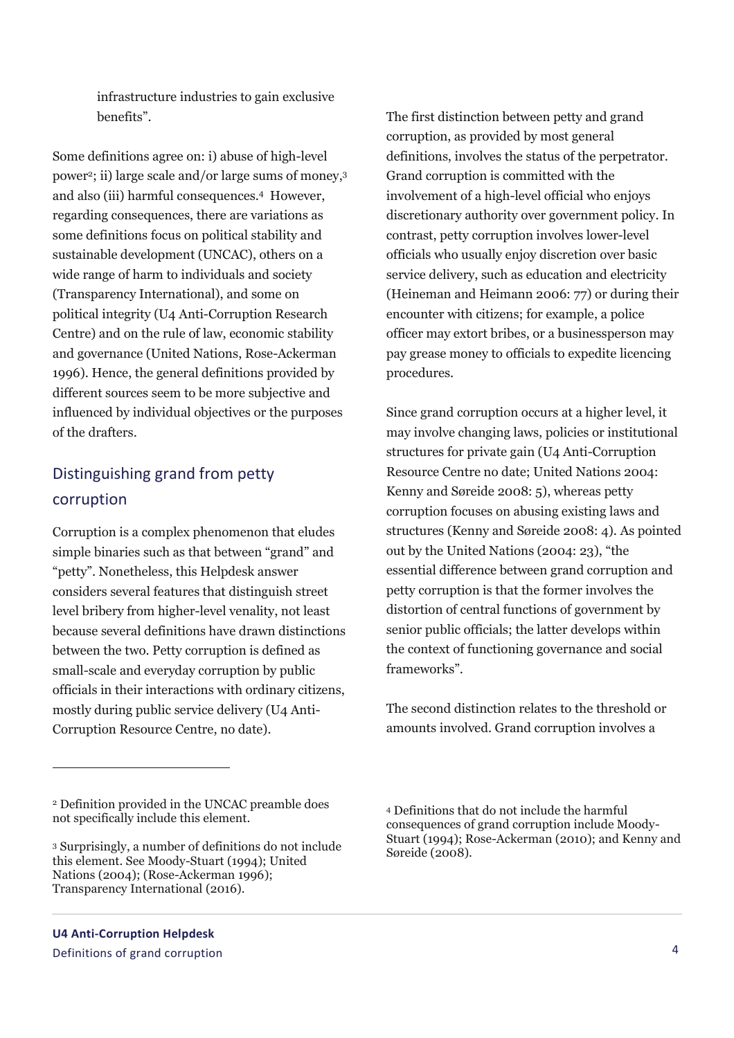infrastructure industries to gain exclusive benefits".

Some definitions agree on: i) abuse of high-level power<sup>2</sup> ; ii) large scale and/or large sums of money, 3 and also (iii) harmful consequences.<sup>4</sup> However, regarding consequences, there are variations as some definitions focus on political stability and sustainable development (UNCAC), others on a wide range of harm to individuals and society (Transparency International), and some on political integrity (U4 Anti-Corruption Research Centre) and on the rule of law, economic stability and governance (United Nations, Rose-Ackerman 1996). Hence, the general definitions provided by different sources seem to be more subjective and influenced by individual objectives or the purposes of the drafters.

## Distinguishing grand from petty corruption

Corruption is a complex phenomenon that eludes simple binaries such as that between "grand" and "petty". Nonetheless, this Helpdesk answer considers several features that distinguish street level bribery from higher-level venality, not least because several definitions have drawn distinctions between the two. Petty corruption is defined as small-scale and everyday corruption by public officials in their interactions with ordinary citizens, mostly during public service delivery (U4 Anti-Corruption Resource Centre, no date).

 $\overline{a}$ 

The first distinction between petty and grand corruption, as provided by most general definitions, involves the status of the perpetrator. Grand corruption is committed with the involvement of a high-level official who enjoys discretionary authority over government policy. In contrast, petty corruption involves lower-level officials who usually enjoy discretion over basic service delivery, such as education and electricity (Heineman and Heimann 2006: 77) or during their encounter with citizens; for example, a police officer may extort bribes, or a businessperson may pay grease money to officials to expedite licencing procedures.

Since grand corruption occurs at a higher level, it may involve changing laws, policies or institutional structures for private gain (U4 Anti-Corruption Resource Centre no date; United Nations 2004: Kenny and Søreide 2008: 5), whereas petty corruption focuses on abusing existing laws and structures (Kenny and Søreide 2008: 4). As pointed out by the United Nations (2004: 23), "the essential difference between grand corruption and petty corruption is that the former involves the distortion of central functions of government by senior public officials; the latter develops within the context of functioning governance and social frameworks".

The second distinction relates to the threshold or amounts involved. Grand corruption involves a

<sup>2</sup> Definition provided in the UNCAC preamble does not specifically include this element.

<sup>3</sup> Surprisingly, a number of definitions do not include this element. See Moody-Stuart (1994); United Nations (2004); (Rose-Ackerman 1996); Transparency International (2016).

<sup>4</sup> Definitions that do not include the harmful consequences of grand corruption include Moody-Stuart (1994); Rose-Ackerman (2010); and Kenny and Søreide (2008).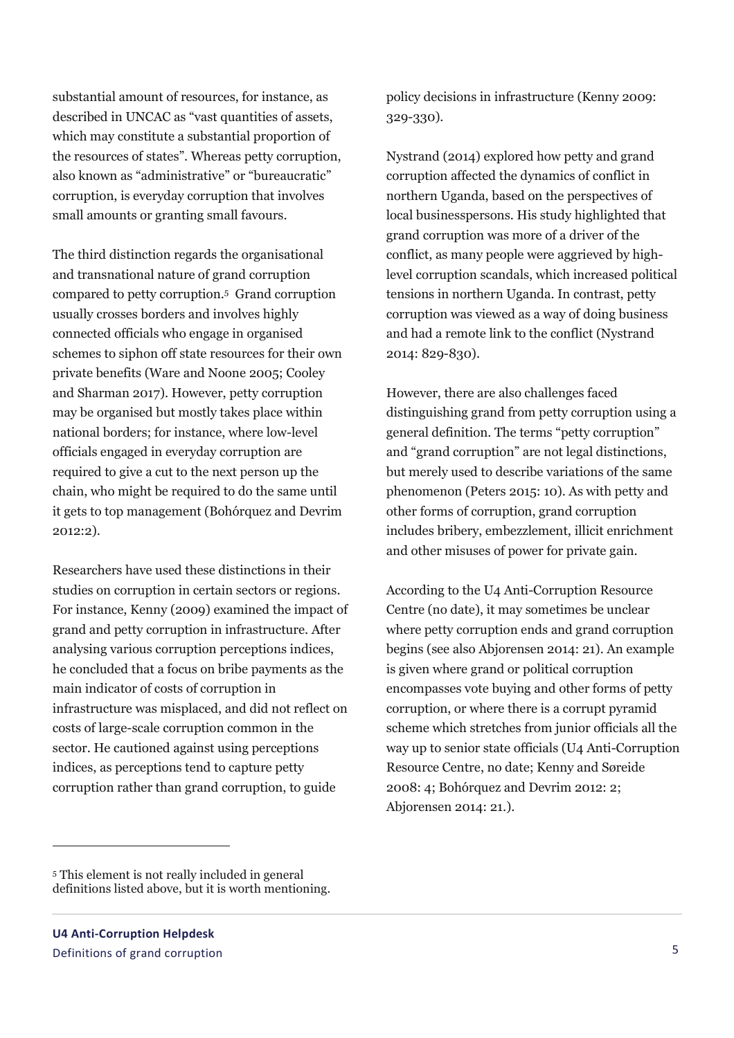substantial amount of resources, for instance, as described in UNCAC as "vast quantities of assets, which may constitute a substantial proportion of the resources of states". Whereas petty corruption, also known as "administrative" or "bureaucratic" corruption, is everyday corruption that involves small amounts or granting small favours.

The third distinction regards the organisational and transnational nature of grand corruption compared to petty corruption.<sup>5</sup> Grand corruption usually crosses borders and involves highly connected officials who engage in organised schemes to siphon off state resources for their own private benefits (Ware and Noone 2005; Cooley and Sharman 2017). However, petty corruption may be organised but mostly takes place within national borders; for instance, where low-level officials engaged in everyday corruption are required to give a cut to the next person up the chain, who might be required to do the same until it gets to top management (Bohórquez and Devrim 2012:2).

Researchers have used these distinctions in their studies on corruption in certain sectors or regions. For instance, Kenny (2009) examined the impact of grand and petty corruption in infrastructure. After analysing various corruption perceptions indices, he concluded that a focus on bribe payments as the main indicator of costs of corruption in infrastructure was misplaced, and did not reflect on costs of large-scale corruption common in the sector. He cautioned against using perceptions indices, as perceptions tend to capture petty corruption rather than grand corruption, to guide

policy decisions in infrastructure (Kenny 2009: 329-330).

Nystrand (2014) explored how petty and grand corruption affected the dynamics of conflict in northern Uganda, based on the perspectives of local businesspersons. His study highlighted that grand corruption was more of a driver of the conflict, as many people were aggrieved by highlevel corruption scandals, which increased political tensions in northern Uganda. In contrast, petty corruption was viewed as a way of doing business and had a remote link to the conflict (Nystrand 2014: 829-830).

However, there are also challenges faced distinguishing grand from petty corruption using a general definition. The terms "petty corruption" and "grand corruption" are not legal distinctions, but merely used to describe variations of the same phenomenon (Peters 2015: 10). As with petty and other forms of corruption, grand corruption includes bribery, embezzlement, illicit enrichment and other misuses of power for private gain.

According to the U4 Anti-Corruption Resource Centre (no date), it may sometimes be unclear where petty corruption ends and grand corruption begins (see also Abjorensen 2014: 21). An example is given where grand or political corruption encompasses vote buying and other forms of petty corruption, or where there is a corrupt pyramid scheme which stretches from junior officials all the way up to senior state officials (U4 Anti-Corruption Resource Centre, no date; Kenny and Søreide 2008: 4; Bohórquez and Devrim 2012: 2; Abjorensen 2014: 21.).

 $\overline{a}$ 

<sup>5</sup> This element is not really included in general definitions listed above, but it is worth mentioning.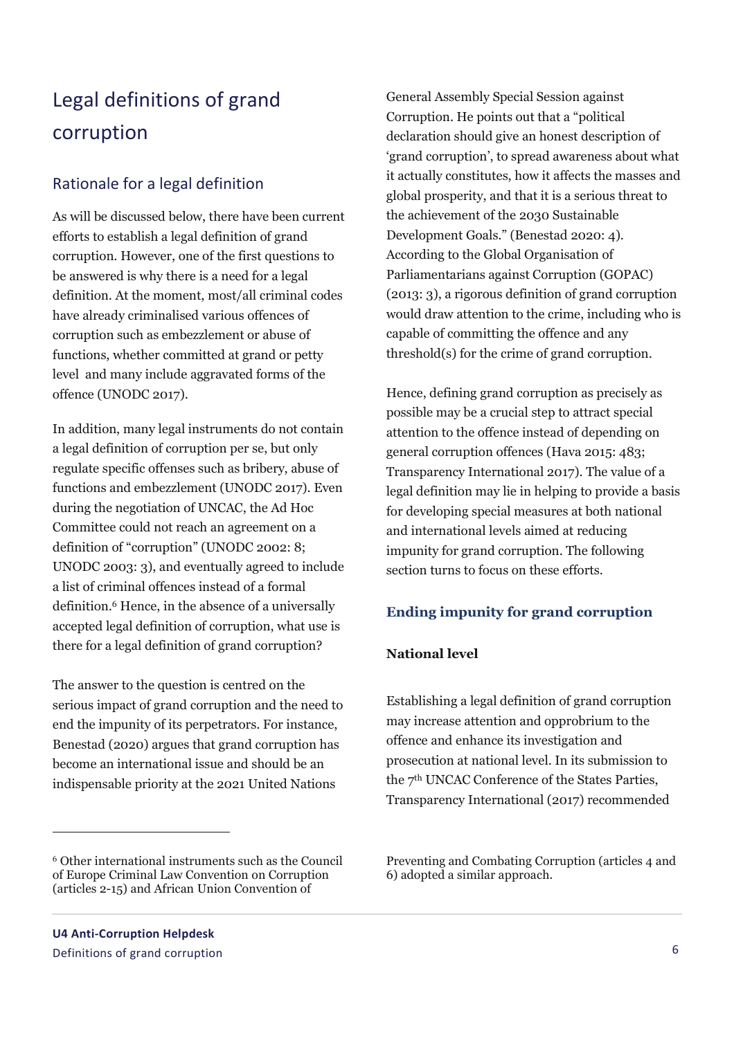## Legal definitions of grand corruption

### Rationale for a legal definition

As will be discussed below, there have been current efforts to establish a legal definition of grand corruption. However, one of the first questions to be answered is why there is a need for a legal definition. At the moment, most/all criminal codes have already criminalised various offences of corruption such as embezzlement or abuse of functions, whether committed at grand or petty level and many include aggravated forms of the offence (UNODC 2017).

In addition, many legal instruments do not contain a legal definition of corruption per se, but only regulate specific offenses such as bribery, abuse of functions and embezzlement (UNODC 2017). Even during the negotiation of UNCAC, the Ad Hoc Committee could not reach an agreement on a definition of "corruption" (UNODC 2002: 8; UNODC 2003: 3), and eventually agreed to include a list of criminal offences instead of a formal definition.<sup>6</sup> Hence, in the absence of a universally accepted legal definition of corruption, what use is there for a legal definition of grand corruption?

The answer to the question is centred on the serious impact of grand corruption and the need to end the impunity of its perpetrators. For instance, Benestad (2020) argues that grand corruption has become an international issue and should be an indispensable priority at the 2021 United Nations

 $\overline{a}$ 

General Assembly Special Session against Corruption. He points out that a "political declaration should give an honest description of 'grand corruption', to spread awareness about what it actually constitutes, how it affects the masses and global prosperity, and that it is a serious threat to the achievement of the 2030 Sustainable Development Goals." (Benestad 2020: 4). According to the Global Organisation of Parliamentarians against Corruption (GOPAC) (2013: 3), a rigorous definition of grand corruption would draw attention to the crime, including who is capable of committing the offence and any threshold(s) for the crime of grand corruption.

Hence, defining grand corruption as precisely as possible may be a crucial step to attract special attention to the offence instead of depending on general corruption offences (Hava 2015: 483; Transparency International 2017). The value of a legal definition may lie in helping to provide a basis for developing special measures at both national and international levels aimed at reducing impunity for grand corruption. The following section turns to focus on these efforts.

#### **Ending impunity for grand corruption**

#### **National level**

Establishing a legal definition of grand corruption may increase attention and opprobrium to the offence and enhance its investigation and prosecution at national level. In its submission to the 7th UNCAC Conference of the States Parties, Transparency International (2017) recommended

Preventing and Combating Corruption (articles 4 and 6) adopted a similar approach.

<sup>6</sup> Other international instruments such as the Council of Europe Criminal Law Convention on Corruption (articles 2-15) and African Union Convention of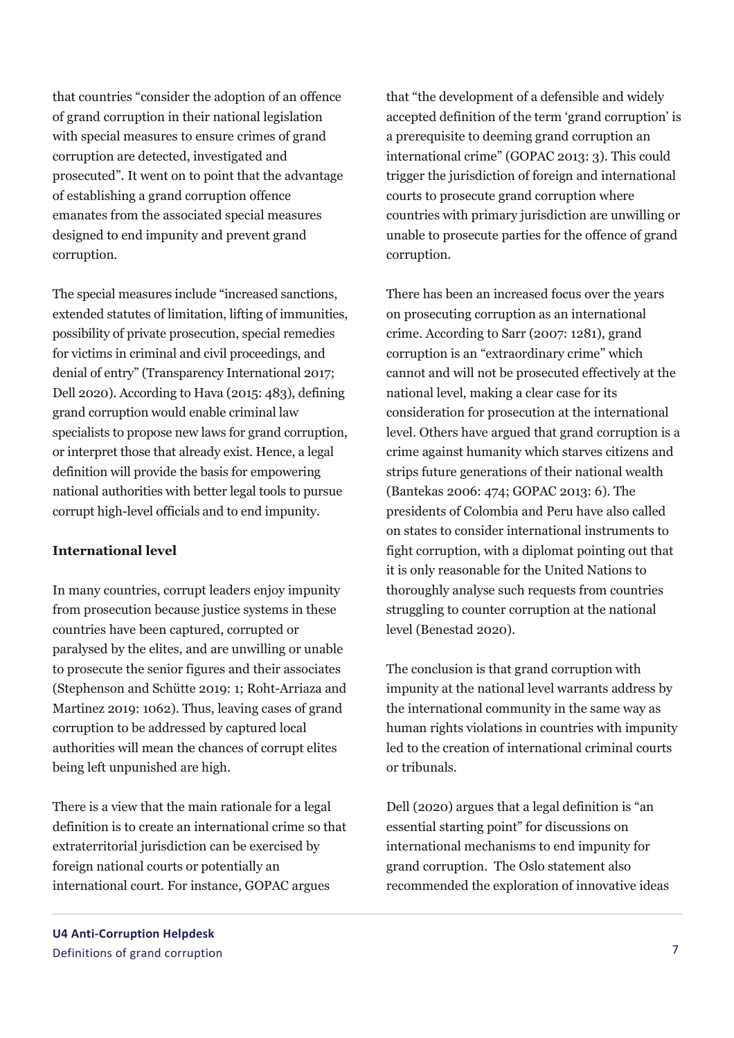that countries "consider the adoption of an offence of grand corruption in their national legislation with special measures to ensure crimes of grand corruption are detected, investigated and prosecuted". It went on to point that the advantage of establishing a grand corruption offence emanates from the associated special measures designed to end impunity and prevent grand corruption.

The special measures include "increased sanctions, extended statutes of limitation, lifting of immunities, possibility of private prosecution, special remedies for victims in criminal and civil proceedings, and denial of entry" (Transparency International 2017; Dell 2020). According to Hava (2015: 483), defining grand corruption would enable criminal law specialists to propose new laws for grand corruption, or interpret those that already exist. Hence, a legal definition will provide the basis for empowering national authorities with better legal tools to pursue corrupt high-level officials and to end impunity.

#### **International level**

In many countries, corrupt leaders enjoy impunity from prosecution because justice systems in these countries have been captured, corrupted or paralysed by the elites, and are unwilling or unable to prosecute the senior figures and their associates (Stephenson and Schütte 2019: 1; Roht-Arriaza and Martinez 2019: 1062). Thus, leaving cases of grand corruption to be addressed by captured local authorities will mean the chances of corrupt elites being left unpunished are high.

There is a view that the main rationale for a legal definition is to create an international crime so that extraterritorial jurisdiction can be exercised by foreign national courts or potentially an international court. For instance, GOPAC argues

that "the development of a defensible and widely accepted definition of the term 'grand corruption' is a prerequisite to deeming grand corruption an international crime" (GOPAC 2013: 3). This could trigger the jurisdiction of foreign and international courts to prosecute grand corruption where countries with primary jurisdiction are unwilling or unable to prosecute parties for the offence of grand corruption.

There has been an increased focus over the years on prosecuting corruption as an international crime. According to Sarr (2007: 1281), grand corruption is an "extraordinary crime" which cannot and will not be prosecuted effectively at the national level, making a clear case for its consideration for prosecution at the international level. Others have argued that grand corruption is a crime against humanity which starves citizens and strips future generations of their national wealth (Bantekas 2006: 474; GOPAC 2013: 6). The presidents of Colombia and Peru have also called on states to consider international instruments to fight corruption, with a diplomat pointing out that it is only reasonable for the United Nations to thoroughly analyse such requests from countries struggling to counter corruption at the national level (Benestad 2020).

The conclusion is that grand corruption with impunity at the national level warrants address by the international community in the same way as human rights violations in countries with impunity led to the creation of international criminal courts or tribunals.

Dell (2020) argues that a legal definition is "an essential starting point" for discussions on international mechanisms to end impunity for grand corruption. The Oslo statement also recommended the exploration of innovative ideas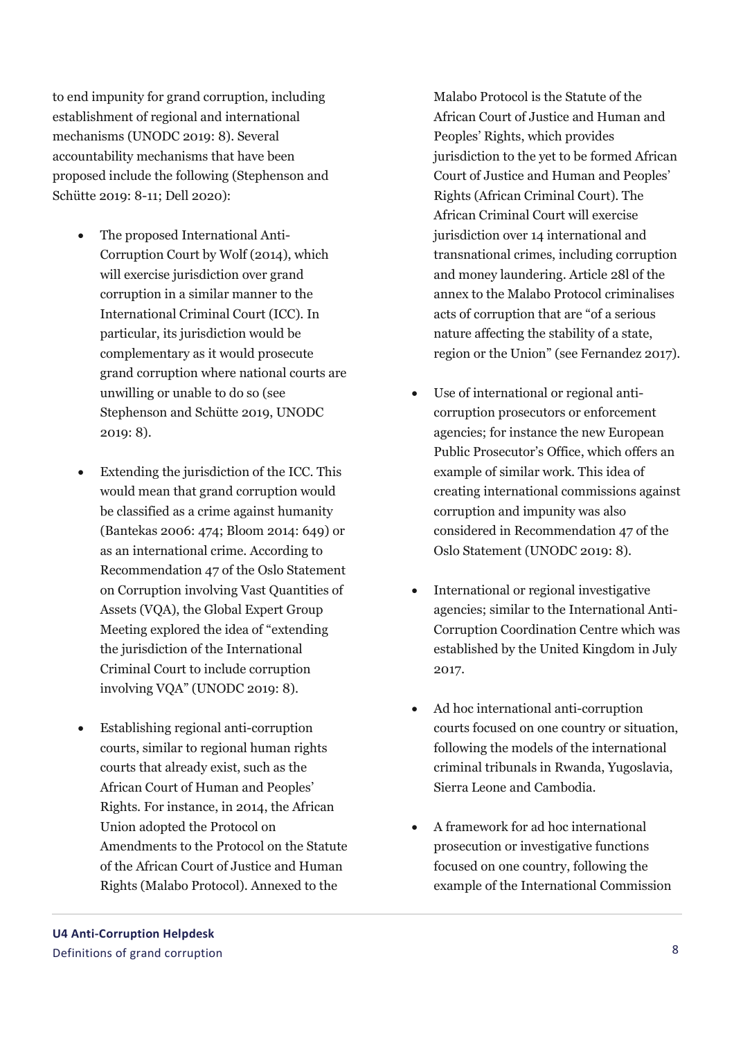to end impunity for grand corruption, including establishment of regional and international mechanisms (UNODC 2019: 8). Several accountability mechanisms that have been proposed include the following (Stephenson and Schütte 2019: 8-11; Dell 2020):

- The proposed International Anti-Corruption Court by Wolf (2014), which will exercise jurisdiction over grand corruption in a similar manner to the International Criminal Court (ICC). In particular, its jurisdiction would be complementary as it would prosecute grand corruption where national courts are unwilling or unable to do so (see Stephenson and Schütte 2019, UNODC 2019: 8).
- Extending the jurisdiction of the ICC. This would mean that grand corruption would be classified as a crime against humanity (Bantekas 2006: 474; Bloom 2014: 649) or as an international crime. According to Recommendation 47 of the Oslo Statement on Corruption involving Vast Quantities of Assets (VQA), the Global Expert Group Meeting explored the idea of "extending the jurisdiction of the International Criminal Court to include corruption involving VQA" (UNODC 2019: 8).
- Establishing regional anti-corruption courts, similar to regional human rights courts that already exist, such as the African Court of Human and Peoples' Rights. For instance, in 2014, the African Union adopted the Protocol on Amendments to the Protocol on the Statute of the African Court of Justice and Human Rights (Malabo Protocol). Annexed to the

Malabo Protocol is the Statute of the African Court of Justice and Human and Peoples' Rights, which provides jurisdiction to the yet to be formed African Court of Justice and Human and Peoples' Rights (African Criminal Court). The African Criminal Court will exercise jurisdiction over 14 international and transnational crimes, including corruption and money laundering. Article 28l of the annex to the Malabo Protocol criminalises acts of corruption that are "of a serious nature affecting the stability of a state, region or the Union" (see Fernandez 2017).

- Use of international or regional anticorruption prosecutors or enforcement agencies; for instance the new European Public Prosecutor's Office, which offers an example of similar work. This idea of creating international commissions against corruption and impunity was also considered in Recommendation 47 of the Oslo Statement (UNODC 2019: 8).
- International or regional investigative agencies; similar to the International Anti-Corruption Coordination Centre which was established by the United Kingdom in July 2017.
- Ad hoc international anti-corruption courts focused on one country or situation, following the models of the international criminal tribunals in Rwanda, Yugoslavia, Sierra Leone and Cambodia.
- A framework for ad hoc international prosecution or investigative functions focused on one country, following the example of the International Commission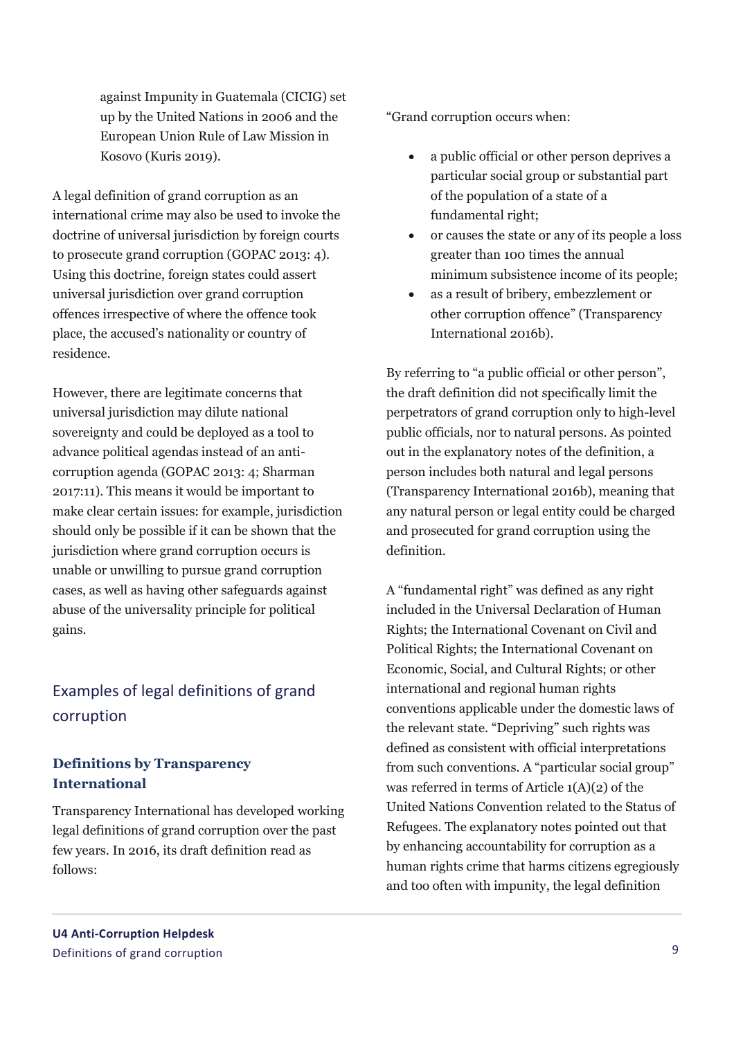against Impunity in Guatemala (CICIG) set up by the United Nations in 2006 and the European Union Rule of Law Mission in Kosovo (Kuris 2019).

A legal definition of grand corruption as an international crime may also be used to invoke the doctrine of universal jurisdiction by foreign courts to prosecute grand corruption (GOPAC 2013: 4). Using this doctrine, foreign states could assert universal jurisdiction over grand corruption offences irrespective of where the offence took place, the accused's nationality or country of residence.

However, there are legitimate concerns that universal jurisdiction may dilute national sovereignty and could be deployed as a tool to advance political agendas instead of an anticorruption agenda (GOPAC 2013: 4; Sharman 2017:11). This means it would be important to make clear certain issues: for example, jurisdiction should only be possible if it can be shown that the jurisdiction where grand corruption occurs is unable or unwilling to pursue grand corruption cases, as well as having other safeguards against abuse of the universality principle for political gains.

### Examples of legal definitions of grand corruption

#### **Definitions by Transparency International**

Transparency International has developed working legal definitions of grand corruption over the past few years. In 2016, its draft definition read as follows:

"Grand corruption occurs when:

- a public official or other person deprives a particular social group or substantial part of the population of a state of a fundamental right;
- or causes the state or any of its people a loss greater than 100 times the annual minimum subsistence income of its people;
- as a result of bribery, embezzlement or other corruption offence" (Transparency International 2016b).

By referring to "a public official or other person", the draft definition did not specifically limit the perpetrators of grand corruption only to high-level public officials, nor to natural persons. As pointed out in the explanatory notes of the definition, a person includes both natural and legal persons (Transparency International 2016b), meaning that any natural person or legal entity could be charged and prosecuted for grand corruption using the definition.

A "fundamental right" was defined as any right included in the Universal Declaration of Human Rights; the International Covenant on Civil and Political Rights; the International Covenant on Economic, Social, and Cultural Rights; or other international and regional human rights conventions applicable under the domestic laws of the relevant state. "Depriving" such rights was defined as consistent with official interpretations from such conventions. A "particular social group" was referred in terms of Article 1(A)(2) of the United Nations Convention related to the Status of Refugees. The explanatory notes pointed out that by enhancing accountability for corruption as a human rights crime that harms citizens egregiously and too often with impunity, the legal definition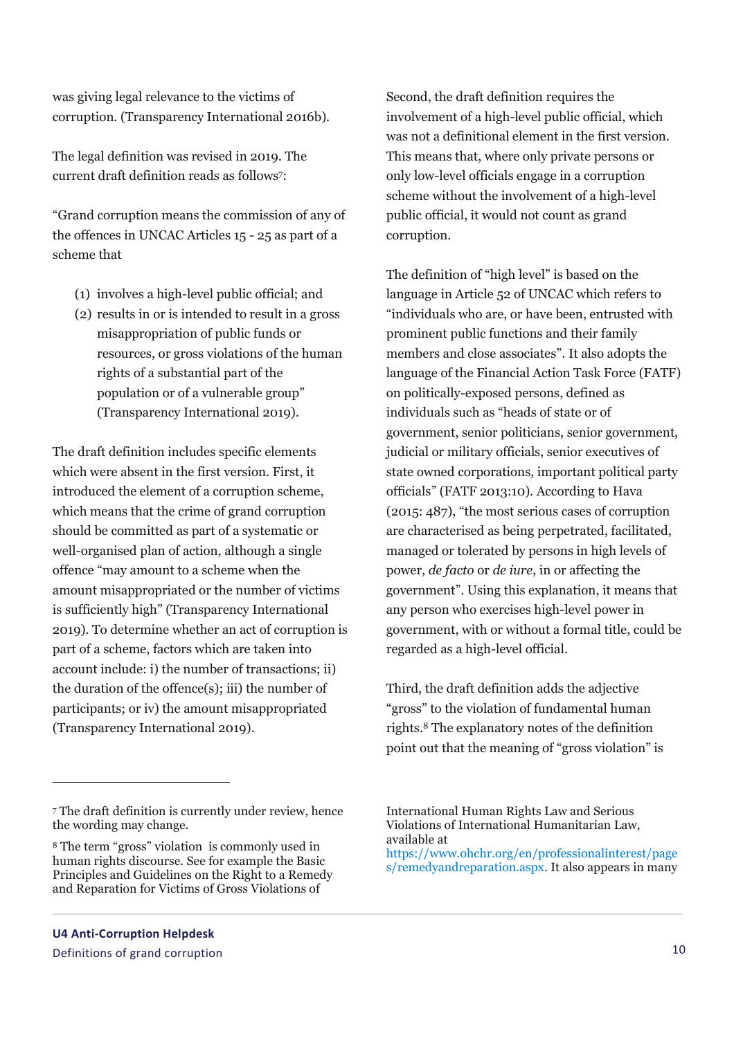was giving legal relevance to the victims of corruption. (Transparency International 2016b).

The legal definition was revised in 2019. The current draft definition reads as follows<sup>7</sup> :

"Grand corruption means the commission of any of the offences in UNCAC Articles 15 - 25 as part of a scheme that

- (1) involves a high-level public official; and
- (2) results in or is intended to result in a gross misappropriation of public funds or resources, or gross violations of the human rights of a substantial part of the population or of a vulnerable group" (Transparency International 2019).

The draft definition includes specific elements which were absent in the first version. First, it introduced the element of a corruption scheme, which means that the crime of grand corruption should be committed as part of a systematic or well-organised plan of action, although a single offence "may amount to a scheme when the amount misappropriated or the number of victims is sufficiently high" (Transparency International 2019). To determine whether an act of corruption is part of a scheme, factors which are taken into account include: i) the number of transactions; ii) the duration of the offence(s); iii) the number of participants; or iv) the amount misappropriated (Transparency International 2019).

Second, the draft definition requires the involvement of a high-level public official, which was not a definitional element in the first version. This means that, where only private persons or only low-level officials engage in a corruption scheme without the involvement of a high-level public official, it would not count as grand corruption.

The definition of "high level" is based on the language in Article 52 of UNCAC which refers to "individuals who are, or have been, entrusted with prominent public functions and their family members and close associates". It also adopts the language of the Financial Action Task Force (FATF) on politically-exposed persons, defined as individuals such as "heads of state or of government, senior politicians, senior government, judicial or military officials, senior executives of state owned corporations, important political party officials" (FATF 2013:10). According to Hava (2015: 487), "the most serious cases of corruption are characterised as being perpetrated, facilitated, managed or tolerated by persons in high levels of power, *de facto* or *de iure*, in or affecting the government". Using this explanation, it means that any person who exercises high-level power in government, with or without a formal title, could be regarded as a high-level official.

Third, the draft definition adds the adjective "gross" to the violation of fundamental human rights. <sup>8</sup> The explanatory notes of the definition point out that the meaning of "gross violation" is

 $\overline{a}$ 

International Human Rights Law and Serious Violations of International Humanitarian Law, available at

[https://www.ohchr.org/en/professionalinterest/page](https://www.ohchr.org/en/professionalinterest/pages/remedyandreparation.aspx) [s/remedyandreparation.aspx.](https://www.ohchr.org/en/professionalinterest/pages/remedyandreparation.aspx) It also appears in many

<sup>7</sup> The draft definition is currently under review, hence the wording may change.

<sup>8</sup> The term "gross" violation is commonly used in human rights discourse. See for example the Basic Principles and Guidelines on the Right to a Remedy and Reparation for Victims of Gross Violations of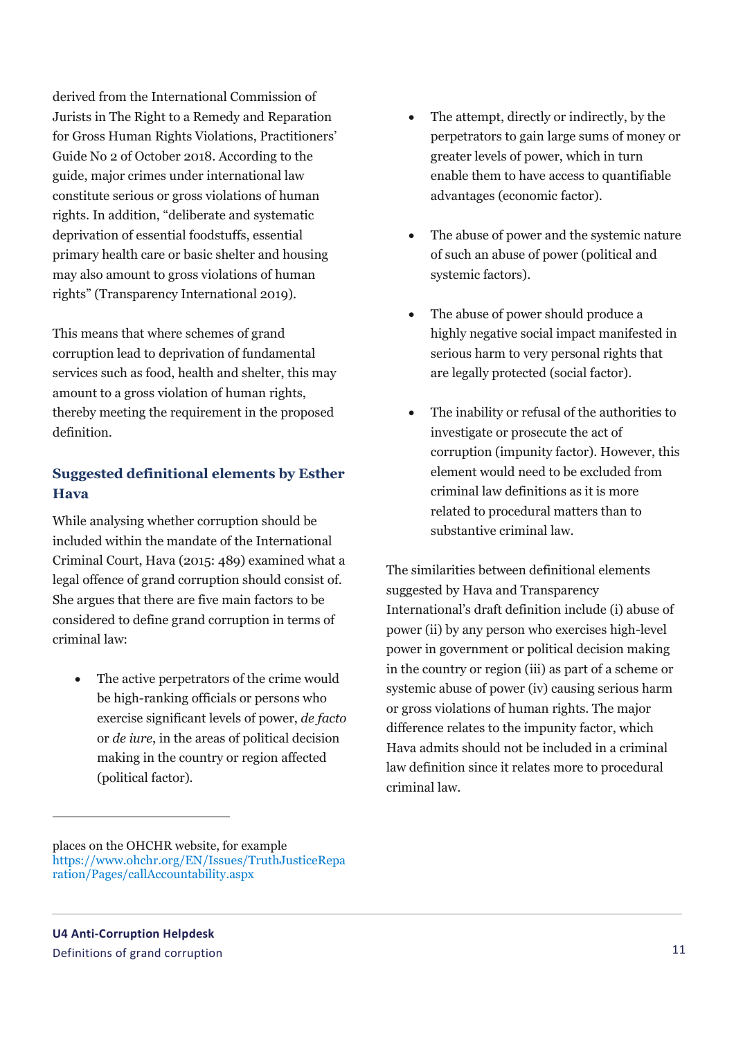derived from the International Commission of Jurists in The Right to a Remedy and Reparation for Gross Human Rights Violations, Practitioners' Guide No 2 of October 2018. According to the guide, major crimes under international law constitute serious or gross violations of human rights. In addition, "deliberate and systematic deprivation of essential foodstuffs, essential primary health care or basic shelter and housing may also amount to gross violations of human rights" (Transparency International 2019).

This means that where schemes of grand corruption lead to deprivation of fundamental services such as food, health and shelter, this may amount to a gross violation of human rights, thereby meeting the requirement in the proposed definition.

#### **Suggested definitional elements by Esther Hava**

While analysing whether corruption should be included within the mandate of the International Criminal Court, Hava (2015: 489) examined what a legal offence of grand corruption should consist of. She argues that there are five main factors to be considered to define grand corruption in terms of criminal law:

 The active perpetrators of the crime would be high-ranking officials or persons who exercise significant levels of power, *de facto* or *de iure*, in the areas of political decision making in the country or region affected (political factor).

- The attempt, directly or indirectly, by the perpetrators to gain large sums of money or greater levels of power, which in turn enable them to have access to quantifiable advantages (economic factor).
- The abuse of power and the systemic nature of such an abuse of power (political and systemic factors).
- The abuse of power should produce a highly negative social impact manifested in serious harm to very personal rights that are legally protected (social factor).
- The inability or refusal of the authorities to investigate or prosecute the act of corruption (impunity factor). However, this element would need to be excluded from criminal law definitions as it is more related to procedural matters than to substantive criminal law.

The similarities between definitional elements suggested by Hava and Transparency International's draft definition include (i) abuse of power (ii) by any person who exercises high-level power in government or political decision making in the country or region (iii) as part of a scheme or systemic abuse of power (iv) causing serious harm or gross violations of human rights. The major difference relates to the impunity factor, which Hava admits should not be included in a criminal law definition since it relates more to procedural criminal law.

 $\overline{a}$ 

places on the OHCHR website, for example [https://www.ohchr.org/EN/Issues/TruthJusticeRepa](https://www.ohchr.org/EN/Issues/TruthJusticeReparation/Pages/callAccountability.aspx) [ration/Pages/callAccountability.aspx](https://www.ohchr.org/EN/Issues/TruthJusticeReparation/Pages/callAccountability.aspx)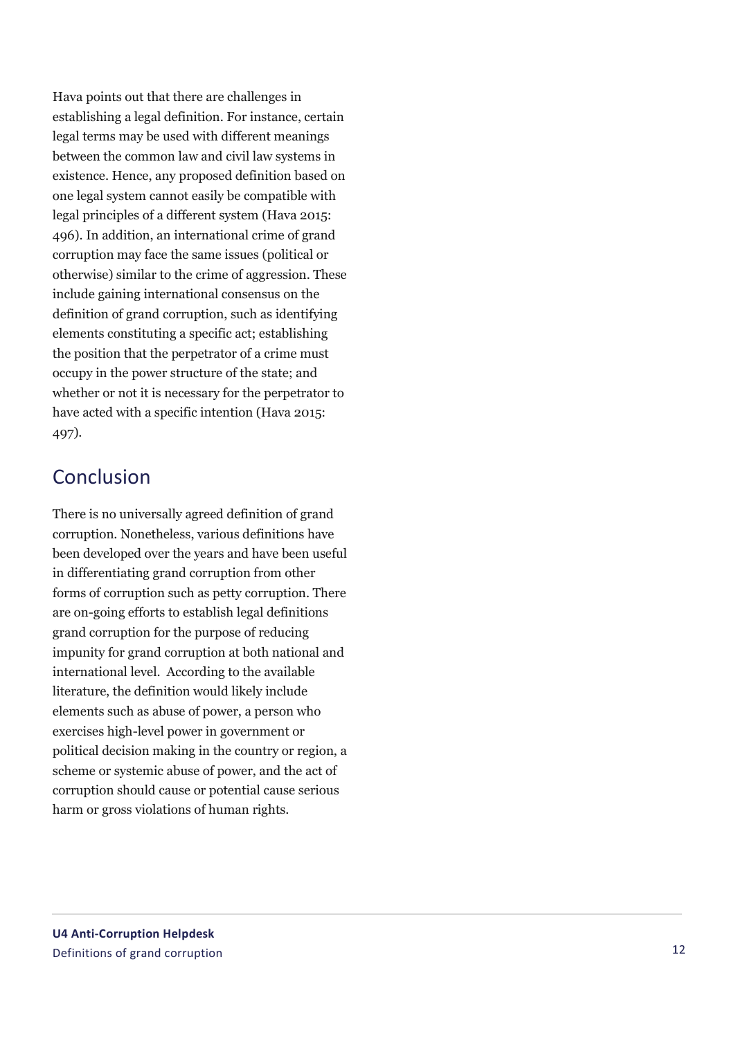Hava points out that there are challenges in establishing a legal definition. For instance, certain legal terms may be used with different meanings between the common law and civil law systems in existence. Hence, any proposed definition based on one legal system cannot easily be compatible with legal principles of a different system (Hava 2015: 496). In addition, an international crime of grand corruption may face the same issues (political or otherwise) similar to the crime of aggression. These include gaining international consensus on the definition of grand corruption, such as identifying elements constituting a specific act; establishing the position that the perpetrator of a crime must occupy in the power structure of the state; and whether or not it is necessary for the perpetrator to have acted with a specific intention (Hava 2015: 497).

## Conclusion

There is no universally agreed definition of grand corruption. Nonetheless, various definitions have been developed over the years and have been useful in differentiating grand corruption from other forms of corruption such as petty corruption. There are on -going efforts to establish legal definitions grand corruption for the purpose of reducing impunity for grand corruption at both national and international level. According to the available literature, the definition would likely include elements such as abuse of power, a person who exercises high -level power in government or political decision making in the country or region, a scheme or systemic abuse of power, and the act of corruption should cause or potential cause serious harm or gross violations of human rights.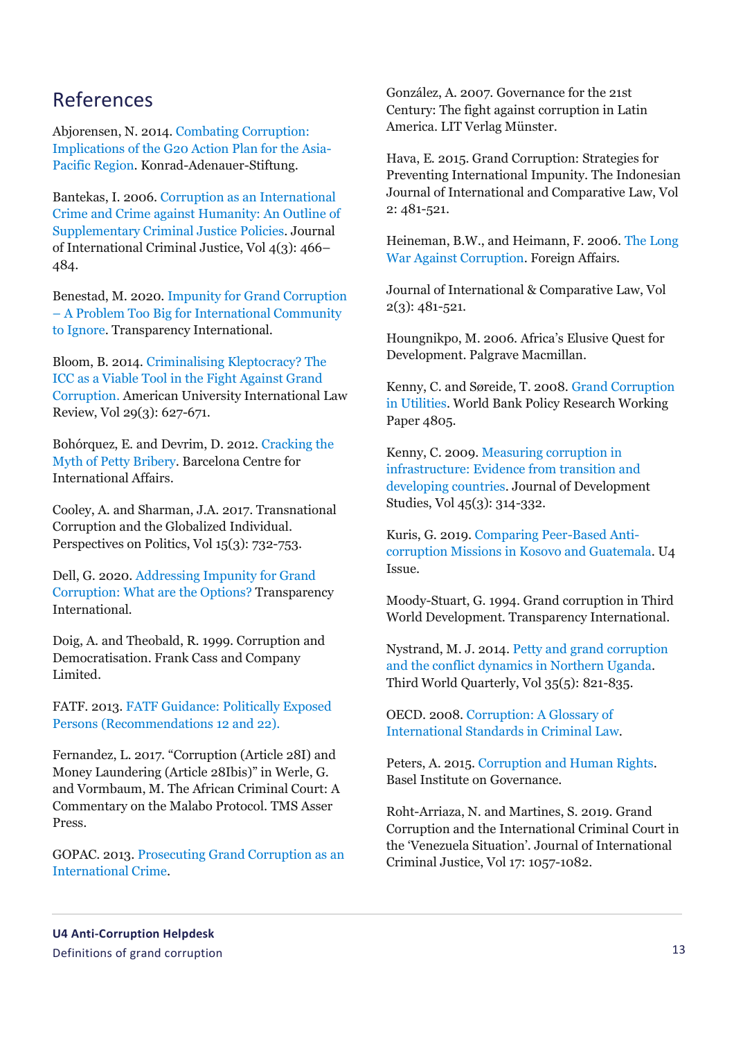### References

Abjorensen, N. 2014[. Combating Corruption:](https://www.kas.de/en/web/japan/single-title/-/content/combating-corruption-implications-of-the-g20-action-plan-for-the-asia-pacific-region1)  [Implications of the G20 Action Plan for the Asia-](https://www.kas.de/en/web/japan/single-title/-/content/combating-corruption-implications-of-the-g20-action-plan-for-the-asia-pacific-region1)[Pacific Region.](https://www.kas.de/en/web/japan/single-title/-/content/combating-corruption-implications-of-the-g20-action-plan-for-the-asia-pacific-region1) Konrad-Adenauer-Stiftung.

Bantekas, I. 2006. [Corruption as an International](https://academic.oup.com/jicj/article-abstract/4/3/466/814228?redirectedFrom=PDF)  [Crime and Crime against Humanity: An Outline of](https://academic.oup.com/jicj/article-abstract/4/3/466/814228?redirectedFrom=PDF)  [Supplementary Criminal Justice Policies.](https://academic.oup.com/jicj/article-abstract/4/3/466/814228?redirectedFrom=PDF) Journal of International Criminal Justice, Vol 4(3): 466– 484.

Benestad, M. 2020[. Impunity for Grand Corruption](https://www.transparency.org/en/blog/impunity-for-grand-corruption-too-big-to-ignore-ungass-2021)  – [A Problem Too Big for International Community](https://www.transparency.org/en/blog/impunity-for-grand-corruption-too-big-to-ignore-ungass-2021)  [to Ignore.](https://www.transparency.org/en/blog/impunity-for-grand-corruption-too-big-to-ignore-ungass-2021) Transparency International.

Bloom, B. 2014[. Criminalising Kleptocracy? The](https://digitalcommons.wcl.american.edu/cgi/viewcontent.cgi?article=1817&context=auilr)  [ICC as a Viable Tool in the Fight Against Grand](https://digitalcommons.wcl.american.edu/cgi/viewcontent.cgi?article=1817&context=auilr)  [Corruption.](https://digitalcommons.wcl.american.edu/cgi/viewcontent.cgi?article=1817&context=auilr) American University International Law Review, Vol 29(3): 627-671.

Bohórquez, E. and Devrim, D. 2012. [Cracking the](https://www.cidob.org/publicaciones/serie_de_publicacion/notes_internacionals/n1_51/cracking_the_myth_of_petty_bribery)  [Myth of Petty Bribery.](https://www.cidob.org/publicaciones/serie_de_publicacion/notes_internacionals/n1_51/cracking_the_myth_of_petty_bribery) Barcelona Centre for International Affairs.

Cooley, A. and Sharman, J.A. 2017. Transnational Corruption and the Globalized Individual. Perspectives on Politics, Vol 15(3): 732-753.

Dell, G. 2020. [Addressing Impunity for Grand](https://www.transparency.org/en/blog/addressing-impunity-for-grand-corruption-what-are-the-options)  [Corruption: What are the Options?](https://www.transparency.org/en/blog/addressing-impunity-for-grand-corruption-what-are-the-options) Transparency International.

Doig, A. and Theobald, R. 1999. Corruption and Democratisation. Frank Cass and Company Limited.

FATF. 2013. [FATF Guidance: Politically Exposed](https://www.fatf-gafi.org/media/fatf/documents/recommendations/Guidance-PEP-Rec12-22.pdf)  [Persons \(Recommendations 12 and 22\).](https://www.fatf-gafi.org/media/fatf/documents/recommendations/Guidance-PEP-Rec12-22.pdf)

Fernandez, L. 2017. "Corruption (Article 28I) and Money Laundering (Article 28Ibis)" in Werle, G. and Vormbaum, M. The African Criminal Court: A Commentary on the Malabo Protocol. TMS Asser Press.

GOPAC. 2013[. Prosecuting Grand Corruption as an](http://gopacnetwork.org/Docs/DiscussionPaper_ProsecutingGrandCorruption_EN.pdf)  [International Crime.](http://gopacnetwork.org/Docs/DiscussionPaper_ProsecutingGrandCorruption_EN.pdf)

González, A. 2007. Governance for the 21st Century: The fight against corruption in Latin America. LIT Verlag Münster.

Hava, E. 2015. Grand Corruption: Strategies for Preventing International Impunity. The Indonesian Journal of International and Comparative Law, Vol 2: 481-521.

Heineman, B.W., and Heimann, F. 2006. [The Long](https://www.foreignaffairs.com/articles/2006-05-01/long-war-against-corruption)  [War Against Corruption.](https://www.foreignaffairs.com/articles/2006-05-01/long-war-against-corruption) Foreign Affairs.

Journal of International & Comparative Law, Vol 2(3): 481-521.

Houngnikpo, M. 2006. Africa's Elusive Quest for Development. Palgrave Macmillan.

Kenny, C. and Søreide, T. 2008. [Grand Corruption](https://openknowledge.worldbank.org/handle/10986/6326)  [in Utilities.](https://openknowledge.worldbank.org/handle/10986/6326) World Bank Policy Research Working Paper 4805.

Kenny, C. 2009[. Measuring corruption in](https://www.tandfonline.com/doi/pdf/10.1080/00220380802265066?casa_token=1tbZTwtmkDIAAAAA:1UKg412WCGswxeryCMAgahZRIL8eyRLzDixyxdtDPGNy7PdiEmJi2WE6IX1wQJh97oBnN0oCry8P)  [infrastructure: Evidence from transition and](https://www.tandfonline.com/doi/pdf/10.1080/00220380802265066?casa_token=1tbZTwtmkDIAAAAA:1UKg412WCGswxeryCMAgahZRIL8eyRLzDixyxdtDPGNy7PdiEmJi2WE6IX1wQJh97oBnN0oCry8P)  [developing countries.](https://www.tandfonline.com/doi/pdf/10.1080/00220380802265066?casa_token=1tbZTwtmkDIAAAAA:1UKg412WCGswxeryCMAgahZRIL8eyRLzDixyxdtDPGNy7PdiEmJi2WE6IX1wQJh97oBnN0oCry8P) Journal of Development Studies, Vol 45(3): 314-332.

Kuris, G. 2019. [Comparing Peer-Based Anti](https://www.u4.no/publications/comparing-peer-based-anti-corruption-missions-in-kosovo-and-guatemala)[corruption Missions in Kosovo and Guatemala.](https://www.u4.no/publications/comparing-peer-based-anti-corruption-missions-in-kosovo-and-guatemala) U4 Issue.

Moody-Stuart, G. 1994. Grand corruption in Third World Development. Transparency International.

Nystrand, M. J. 2014[. Petty and grand corruption](https://www.tandfonline.com/doi/full/10.1080/01436597.2014.921432)  [and the conflict dynamics in Northern Uganda.](https://www.tandfonline.com/doi/full/10.1080/01436597.2014.921432) Third World Quarterly, Vol 35(5): 821-835.

OECD. 2008. [Corruption: A Glossary of](https://www.oecd.org/corruption/corruptionglossaryofinternationalcriminalstandards.htm)  [International Standards in Criminal Law.](https://www.oecd.org/corruption/corruptionglossaryofinternationalcriminalstandards.htm)

Peters, A. 2015[. Corruption and Human Rights.](https://www.mpil.de/files/pdf4/Peters_Corruption_and_Human_Rights20152.pdf) Basel Institute on Governance.

Roht-Arriaza, N. and Martines, S. 2019. Grand Corruption and the International Criminal Court in the 'Venezuela Situation'. Journal of International Criminal Justice, Vol 17: 1057-1082.

**U4 Anti-Corruption Helpdesk** Definitions of grand corruption 13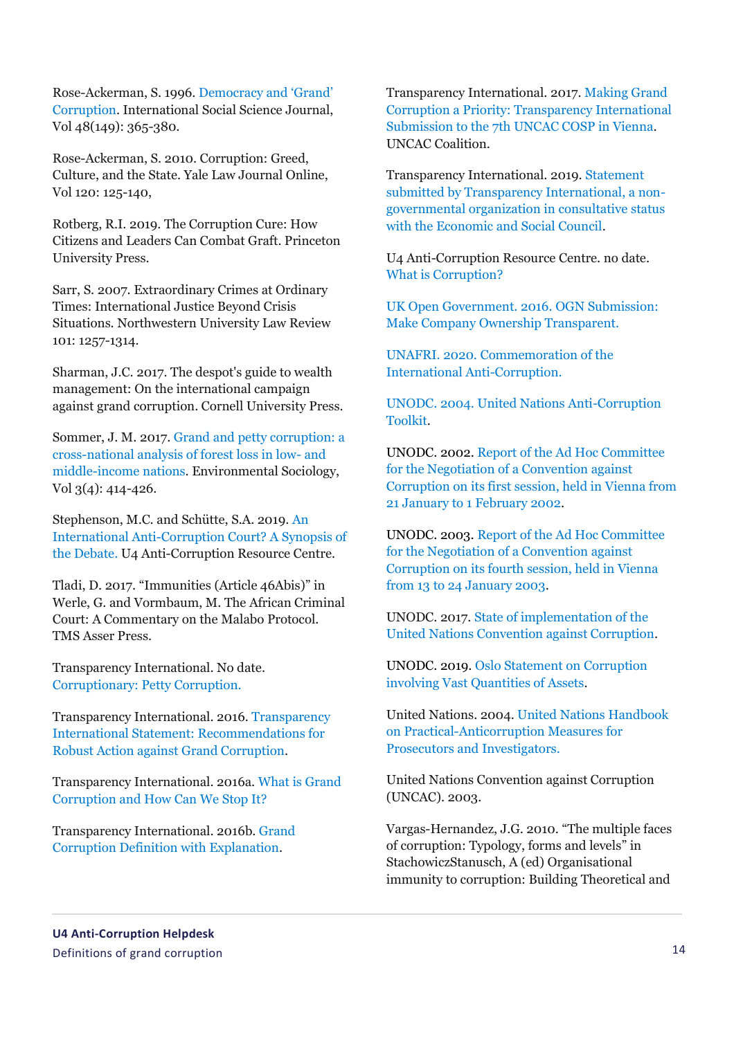Rose-Ackerman, S. 1996. [Democracy and 'Grand'](https://onlinelibrary.wiley.com/doi/abs/10.1111/1468-2451.00038)  [Corruption.](https://onlinelibrary.wiley.com/doi/abs/10.1111/1468-2451.00038) International Social Science Journal, Vol 48(149): 365-380.

Rose-Ackerman, S. 2010. Corruption: Greed, Culture, and the State. Yale Law Journal Online, Vol 120: 125-140,

Rotberg, R.I. 2019. The Corruption Cure: How Citizens and Leaders Can Combat Graft. Princeton University Press.

Sarr, S. 2007. Extraordinary Crimes at Ordinary Times: International Justice Beyond Crisis Situations. Northwestern University Law Review 101: 1257-1314.

Sharman, J.C. 2017. The despot's guide to wealth management: On the international campaign against grand corruption. Cornell University Press.

Sommer, J. M. 2017[. Grand and petty corruption: a](https://www.tandfonline.com/doi/abs/10.1080/23251042.2017.1348569)  [cross-national analysis of forest loss in low-](https://www.tandfonline.com/doi/abs/10.1080/23251042.2017.1348569) and [middle-income nations.](https://www.tandfonline.com/doi/abs/10.1080/23251042.2017.1348569) Environmental Sociology, Vol 3(4): 414-426.

Stephenson, M.C. and Schütte, S.A. 2019. [An](https://www.u4.no/publications/an-international-anti-corruption-court-a-synopsis-of-the-debate)  [International Anti-Corruption Court? A Synopsis of](https://www.u4.no/publications/an-international-anti-corruption-court-a-synopsis-of-the-debate)  [the Debate.](https://www.u4.no/publications/an-international-anti-corruption-court-a-synopsis-of-the-debate) U4 Anti-Corruption Resource Centre.

Tladi, D. 2017. "Immunities (Article 46Abis)" in Werle, G. and Vormbaum, M. The African Criminal Court: A Commentary on the Malabo Protocol. TMS Asser Press.

Transparency International. No date. [Corruptionary: Petty Corruption.](https://www.transparency.org/en/corruptionary/petty-corruption)

Transparency International. 2016. [Transparency](https://www.transparency.org/files/content/activity/26Oct2015_TI_StatementOnGrandCorruption_EN.pdf)  [International Statement: Recommendations for](https://www.transparency.org/files/content/activity/26Oct2015_TI_StatementOnGrandCorruption_EN.pdf)  [Robust Action against Grand Corruption.](https://www.transparency.org/files/content/activity/26Oct2015_TI_StatementOnGrandCorruption_EN.pdf)

Transparency International. 2016a. [What is Grand](https://www.transparency.org/en/news/what-is-grand-corruption-and-how-can-we-stop-it)  [Corruption and How Can We Stop It?](https://www.transparency.org/en/news/what-is-grand-corruption-and-how-can-we-stop-it)

Transparency International. 2016b[. Grand](https://www.unodc.org/documents/NGO/Grand_Corruption_definition_with_explanation_19_August_2016_002_1.pdf)  [Corruption Definition with Explanation.](https://www.unodc.org/documents/NGO/Grand_Corruption_definition_with_explanation_19_August_2016_002_1.pdf)

Transparency International. 2017[. Making Grand](https://uncaccoalition.org/files/TI-Submission-on-Grand-Corruption.pdf)  Corruption a Priority: [Transparency International](https://uncaccoalition.org/files/TI-Submission-on-Grand-Corruption.pdf)  [Submission to the 7th UNCAC COSP in Vienna.](https://uncaccoalition.org/files/TI-Submission-on-Grand-Corruption.pdf) UNCAC Coalition.

Transparency International. 2019. [Statement](https://www.unodc.org/documents/treaties/UNCAC/COSP/session8/V1911801e.pdf)  [submitted by Transparency International, a non](https://www.unodc.org/documents/treaties/UNCAC/COSP/session8/V1911801e.pdf)[governmental organization in consultative status](https://www.unodc.org/documents/treaties/UNCAC/COSP/session8/V1911801e.pdf)  [with the Economic and Social Council.](https://www.unodc.org/documents/treaties/UNCAC/COSP/session8/V1911801e.pdf)

U4 Anti-Corruption Resource Centre. no date. [What is Corruption?](https://www.u4.no/topics/anti-corruption-basics/basics)

UK Open Government. 2016. [OGN Submission:](https://www.opengovernment.org.uk/resource/ogn-submission-make-company-ownership-transparent/)  [Make Company Ownership Transparent.](https://www.opengovernment.org.uk/resource/ogn-submission-make-company-ownership-transparent/)

UNAFRI. 2020. [Commemoration of the](http://unafri.or.ug/index.php/931/commemoration-of-the-international-anti-corruption/)  [International Anti-Corruption.](http://unafri.or.ug/index.php/931/commemoration-of-the-international-anti-corruption/)

UNODC. 2004. [United Nations Anti-Corruption](https://www.unodc.org/documents/treaties/corruption/toolkit/toolkitv5_foreword.pdf)  [Toolkit.](https://www.unodc.org/documents/treaties/corruption/toolkit/toolkitv5_foreword.pdf)

UNODC. 2002. [Report of the Ad Hoc Committee](https://www.unodc.org/pdf/crime/convention_corruption/session_2/4e.pdf)  [for the Negotiation of a Convention against](https://www.unodc.org/pdf/crime/convention_corruption/session_2/4e.pdf)  [Corruption on its first session, held in Vienna from](https://www.unodc.org/pdf/crime/convention_corruption/session_2/4e.pdf)  [21 January to 1 February 2002.](https://www.unodc.org/pdf/crime/convention_corruption/session_2/4e.pdf)

UNODC. 2003. [Report of the Ad Hoc Committee](https://www.unodc.org/pdf/crime/convention_corruption/session_5/13e.pdf)  [for the Negotiation of a Convention against](https://www.unodc.org/pdf/crime/convention_corruption/session_5/13e.pdf)  [Corruption on its fourth session, held in Vienna](https://www.unodc.org/pdf/crime/convention_corruption/session_5/13e.pdf)  [from 13 to 24 January 2003.](https://www.unodc.org/pdf/crime/convention_corruption/session_5/13e.pdf)

UNODC. 2017. State [of implementation of the](https://www.unodc.org/documents/treaties/UNCAC/COSP/session7/V.17-04679_E-book.pdf)  [United Nations Convention against Corruption.](https://www.unodc.org/documents/treaties/UNCAC/COSP/session7/V.17-04679_E-book.pdf)

UNODC. 2019. [Oslo Statement on Corruption](https://www.unodc.org/documents/corruption/meetings/OsloEGM2019/Oslo_Outcome_Statement_on_Corruption_involving_Vast_Quantities_of_Assets_-_FINAL_VERSION.pdf)  [involving Vast Quantities of Assets.](https://www.unodc.org/documents/corruption/meetings/OsloEGM2019/Oslo_Outcome_Statement_on_Corruption_involving_Vast_Quantities_of_Assets_-_FINAL_VERSION.pdf)

United Nations. 2004. United Nations Handbook on Practical-Anticorruption Measures for Prosecutors and Investigators.

United Nations Convention against Corruption (UNCAC). 2003.

Vargas-Hernandez, J.G. 2010. "The multiple faces of corruption: Typology, forms and levels" in StachowiczStanusch, A (ed) Organisational immunity to corruption: Building Theoretical and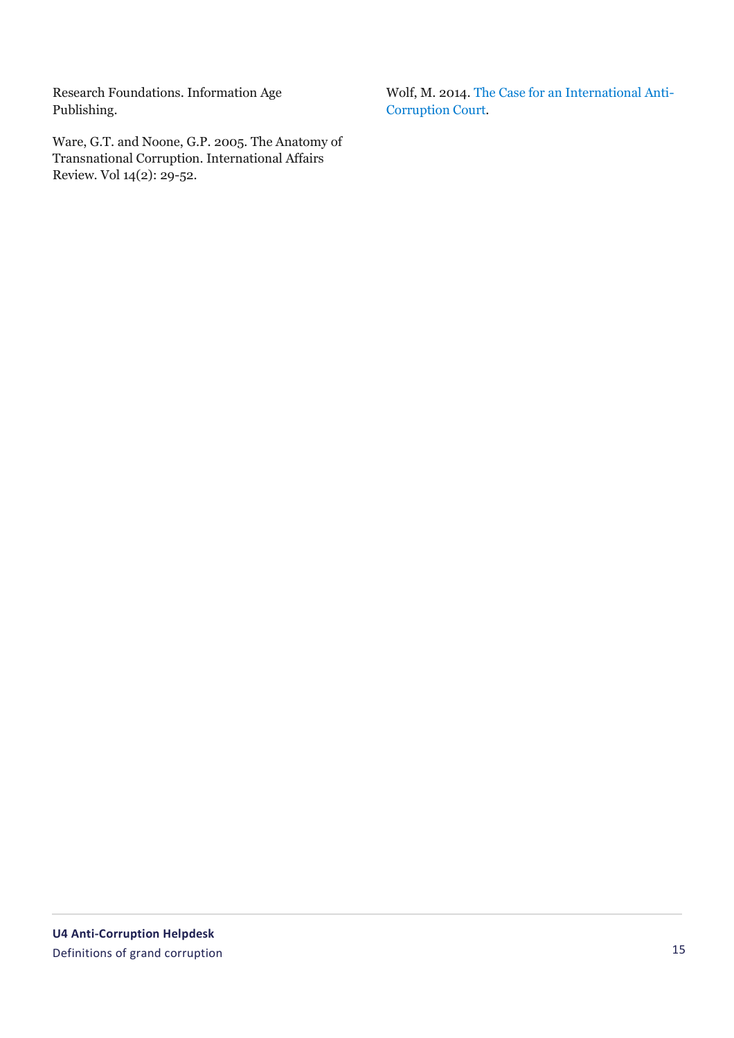Research Foundations. Information Age Publishing.

Ware, G.T. and Noone, G.P. 2005. The Anatomy of Transnational Corruption. International Affairs Review. Vol 14(2): 29-52.

Wolf, M. 2014. [The Case for an International Anti-](https://www.brookings.edu/research/the-case-for-an-international-anti-corruption-court/)[Corruption Court.](https://www.brookings.edu/research/the-case-for-an-international-anti-corruption-court/)